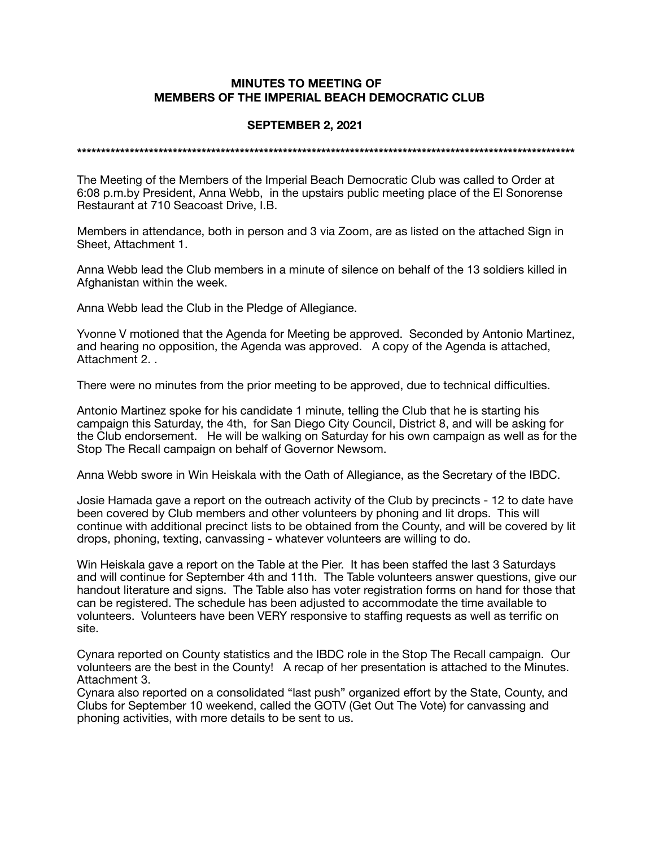## **MINUTES TO MEETING OF MEMBERS OF THE IMPERIAL BEACH DEMOCRATIC CLUB**

## **SEPTEMBER 2, 2021**

**\*\*\*\*\*\*\*\*\*\*\*\*\*\*\*\*\*\*\*\*\*\*\*\*\*\*\*\*\*\*\*\*\*\*\*\*\*\*\*\*\*\*\*\*\*\*\*\*\*\*\*\*\*\*\*\*\*\*\*\*\*\*\*\*\*\*\*\*\*\*\*\*\*\*\*\*\*\*\*\*\*\*\*\*\*\*\*\*\*\*\*\*\*\*\*\*\*\*\*\*\*\*\*\*** 

The Meeting of the Members of the Imperial Beach Democratic Club was called to Order at 6:08 p.m.by President, Anna Webb, in the upstairs public meeting place of the El Sonorense Restaurant at 710 Seacoast Drive, I.B.

Members in attendance, both in person and 3 via Zoom, are as listed on the attached Sign in Sheet, Attachment 1.

Anna Webb lead the Club members in a minute of silence on behalf of the 13 soldiers killed in Afghanistan within the week.

Anna Webb lead the Club in the Pledge of Allegiance.

Yvonne V motioned that the Agenda for Meeting be approved. Seconded by Antonio Martinez, and hearing no opposition, the Agenda was approved. A copy of the Agenda is attached, Attachment 2. .

There were no minutes from the prior meeting to be approved, due to technical difficulties.

Antonio Martinez spoke for his candidate 1 minute, telling the Club that he is starting his campaign this Saturday, the 4th, for San Diego City Council, District 8, and will be asking for the Club endorsement. He will be walking on Saturday for his own campaign as well as for the Stop The Recall campaign on behalf of Governor Newsom.

Anna Webb swore in Win Heiskala with the Oath of Allegiance, as the Secretary of the IBDC.

Josie Hamada gave a report on the outreach activity of the Club by precincts - 12 to date have been covered by Club members and other volunteers by phoning and lit drops. This will continue with additional precinct lists to be obtained from the County, and will be covered by lit drops, phoning, texting, canvassing - whatever volunteers are willing to do.

Win Heiskala gave a report on the Table at the Pier. It has been staffed the last 3 Saturdays and will continue for September 4th and 11th. The Table volunteers answer questions, give our handout literature and signs. The Table also has voter registration forms on hand for those that can be registered. The schedule has been adjusted to accommodate the time available to volunteers. Volunteers have been VERY responsive to staffing requests as well as terrific on site.

Cynara reported on County statistics and the IBDC role in the Stop The Recall campaign. Our volunteers are the best in the County! A recap of her presentation is attached to the Minutes. Attachment 3.

Cynara also reported on a consolidated "last push" organized effort by the State, County, and Clubs for September 10 weekend, called the GOTV (Get Out The Vote) for canvassing and phoning activities, with more details to be sent to us.